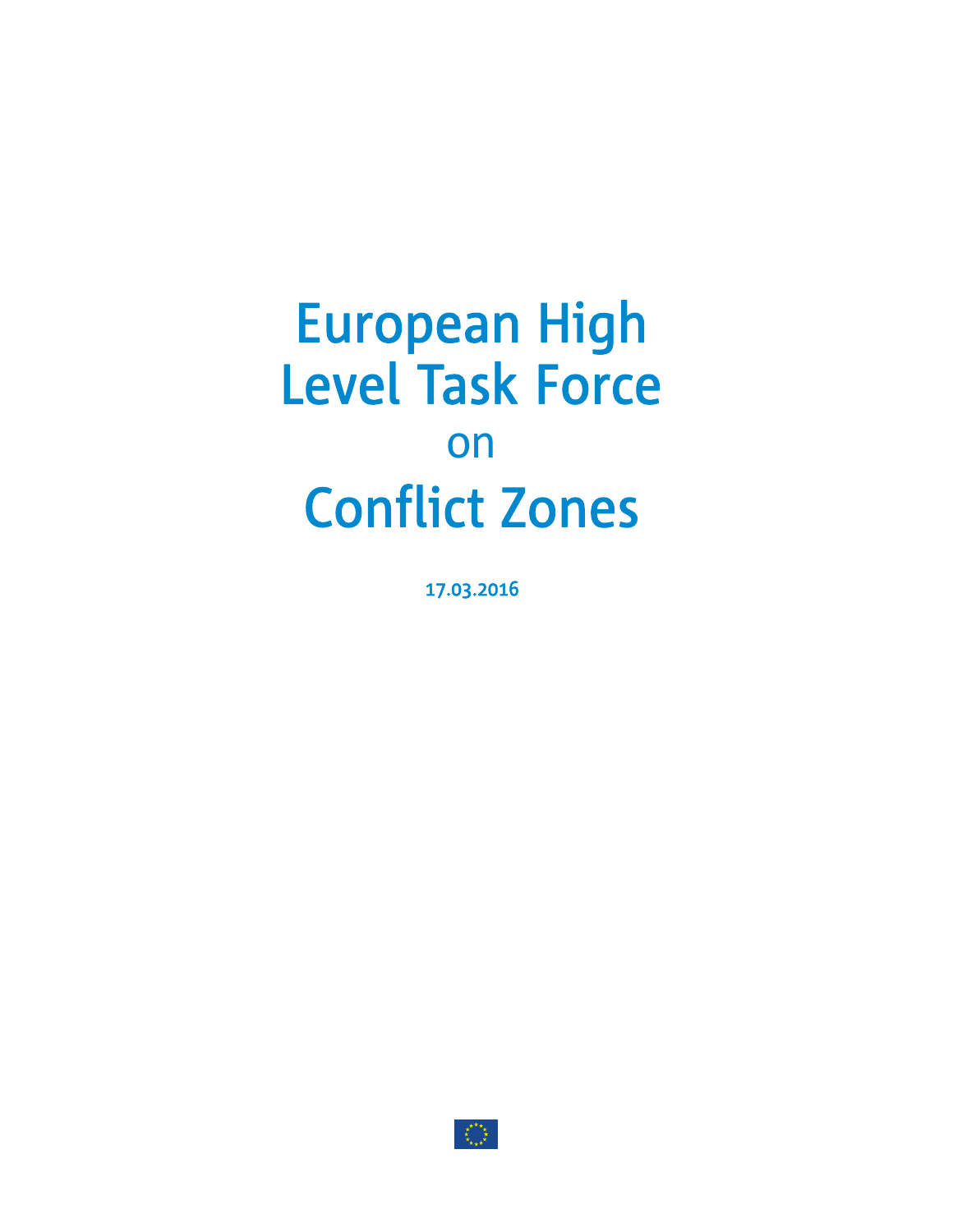# European High Level Task Force on Conflict Zones

17.03.2016

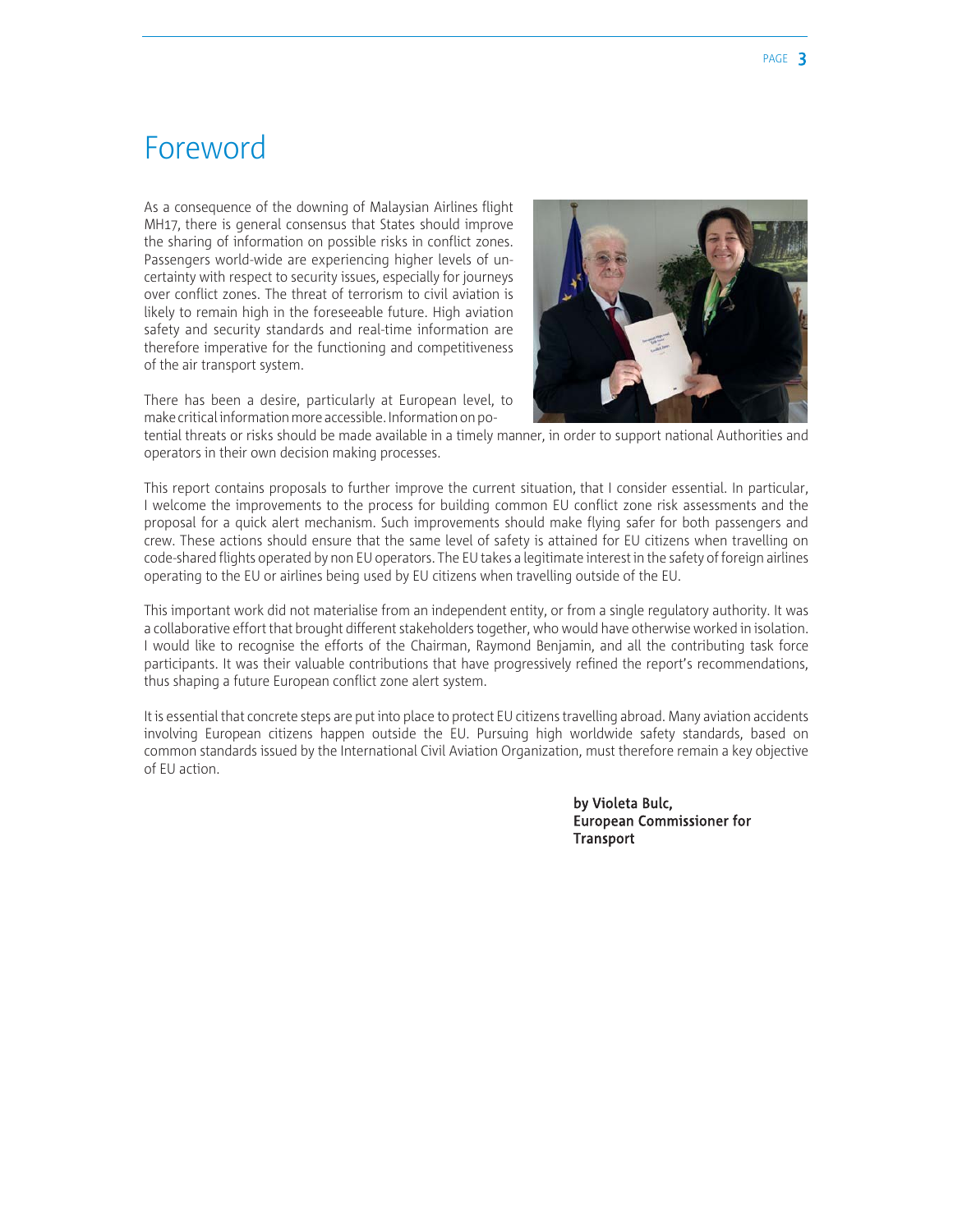### Foreword

As a consequence of the downing of Malaysian Airlines flight MH17, there is general consensus that States should improve the sharing of information on possible risks in conflict zones. Passengers world-wide are experiencing higher levels of uncertainty with respect to security issues, especially for journeys over conflict zones. The threat of terrorism to civil aviation is likely to remain high in the foreseeable future. High aviation safety and security standards and real-time information are therefore imperative for the functioning and competitiveness of the air transport system.

There has been a desire, particularly at European level, to make critical information more accessible. Information on po-



tential threats or risks should be made available in a timely manner, in order to support national Authorities and operators in their own decision making processes.

This report contains proposals to further improve the current situation, that I consider essential. In particular, I welcome the improvements to the process for building common EU conflict zone risk assessments and the proposal for a quick alert mechanism. Such improvements should make flying safer for both passengers and crew. These actions should ensure that the same level of safety is attained for EU citizens when travelling on code-shared flights operated by non EU operators. The EU takes a legitimate interest in the safety of foreign airlines operating to the EU or airlines being used by EU citizens when travelling outside of the EU.

This important work did not materialise from an independent entity, or from a single regulatory authority. It was a collaborative effort that brought different stakeholders together, who would have otherwise worked in isolation. I would like to recognise the efforts of the Chairman, Raymond Benjamin, and all the contributing task force participants. It was their valuable contributions that have progressively refined the report's recommendations, thus shaping a future European conflict zone alert system.

It is essential that concrete steps are put into place to protect EU citizens travelling abroad. Many aviation accidents involving European citizens happen outside the EU. Pursuing high worldwide safety standards, based on common standards issued by the International Civil Aviation Organization, must therefore remain a key objective of EU action.

> by Violeta Bulc, European Commissioner for **Transport**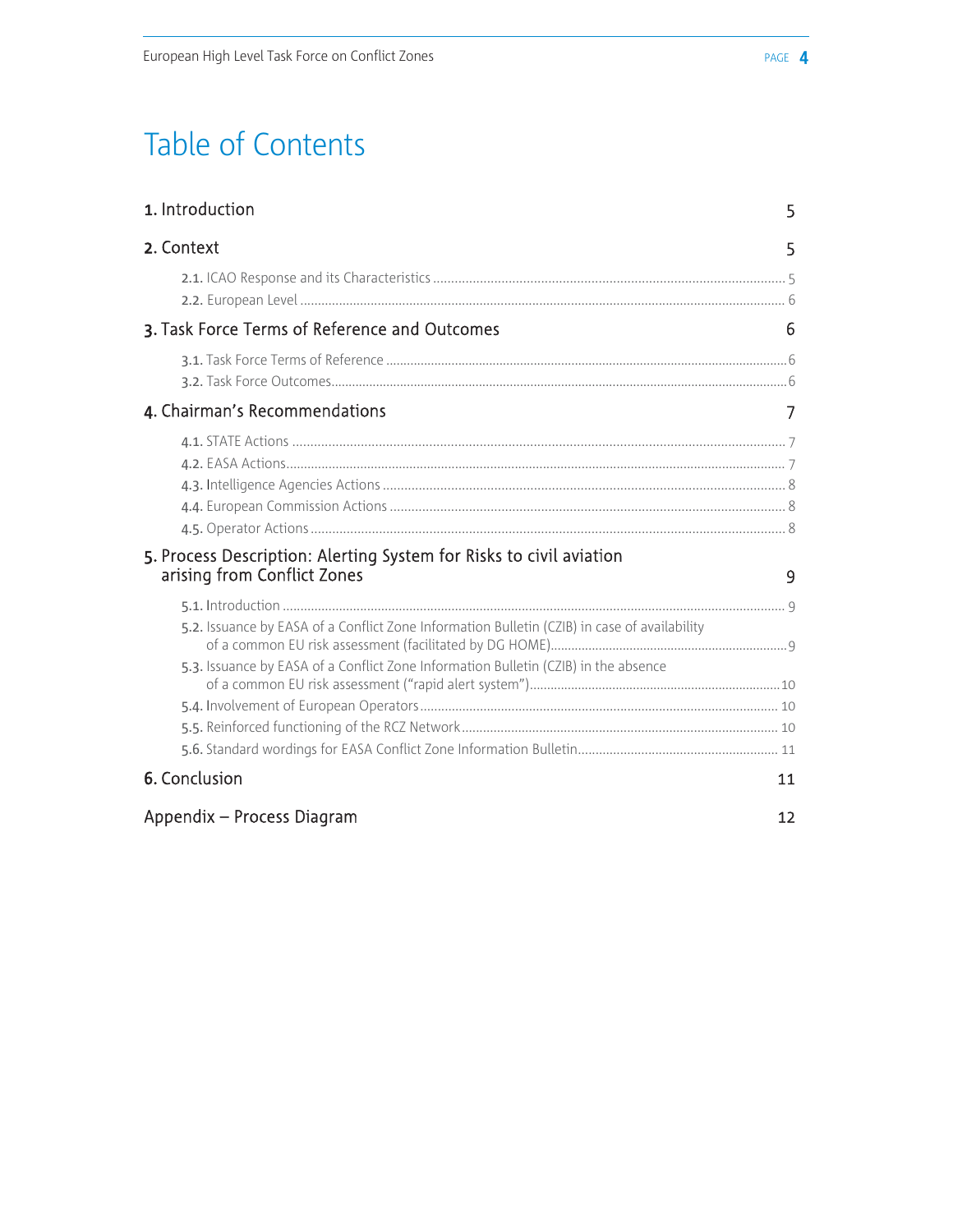## Table of Contents

| 1. Introduction                                                                                    | 5  |
|----------------------------------------------------------------------------------------------------|----|
| 2. Context                                                                                         | 5  |
|                                                                                                    |    |
| 3. Task Force Terms of Reference and Outcomes                                                      | 6  |
|                                                                                                    |    |
| 4. Chairman's Recommendations                                                                      |    |
|                                                                                                    |    |
| 5. Process Description: Alerting System for Risks to civil aviation<br>arising from Conflict Zones | 9  |
| 5.2. Issuance by EASA of a Conflict Zone Information Bulletin (CZIB) in case of availability       |    |
| 5.3. Issuance by EASA of a Conflict Zone Information Bulletin (CZIB) in the absence                |    |
|                                                                                                    |    |
| 6. Conclusion                                                                                      | 11 |
| Appendix - Process Diagram                                                                         | 12 |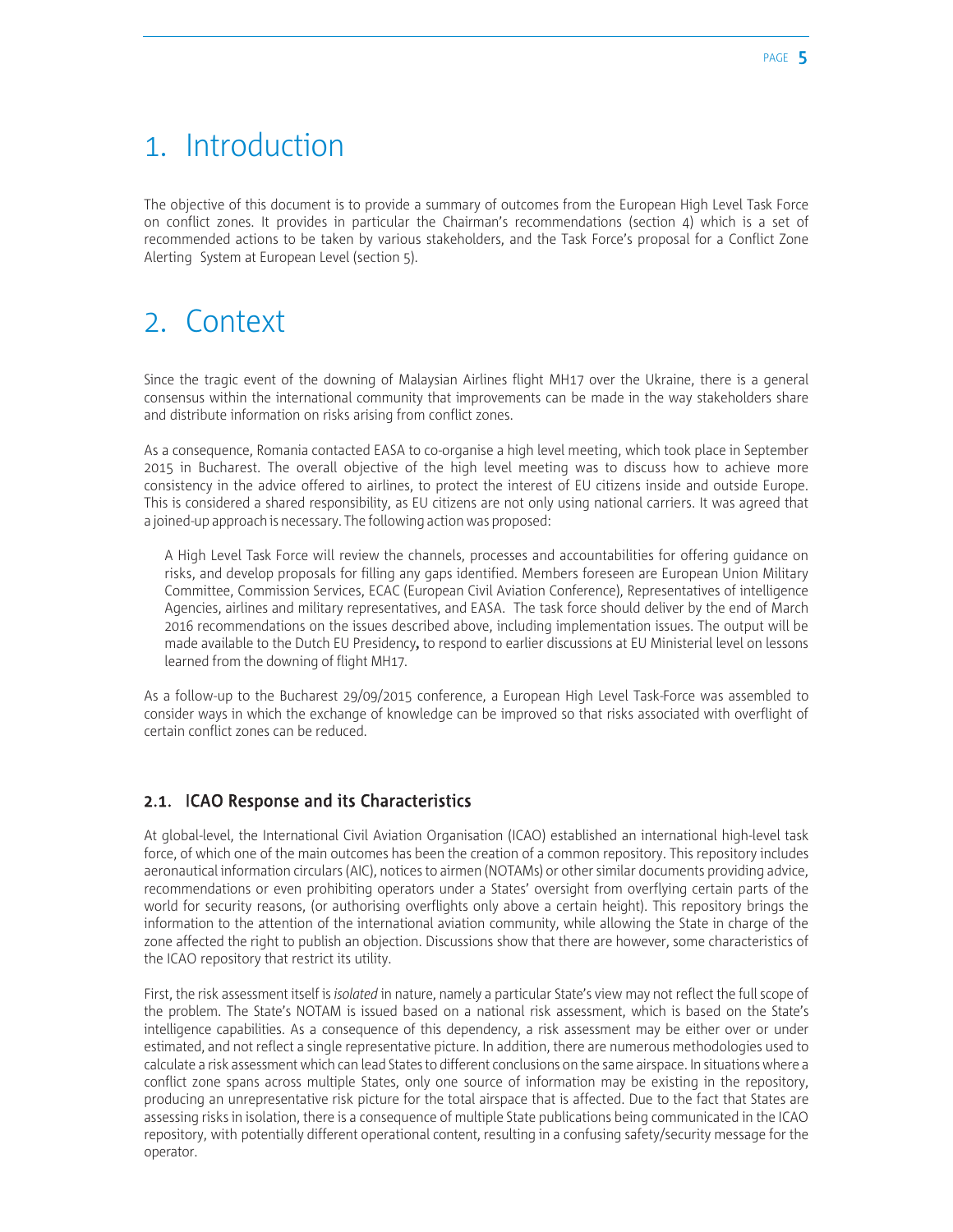### 1. Introduction

The objective of this document is to provide a summary of outcomes from the European High Level Task Force on conflict zones. It provides in particular the Chairman's recommendations (section 4) which is a set of recommended actions to be taken by various stakeholders, and the Task Force's proposal for a Conflict Zone Alerting System at European Level (section 5).

### 2. Context

Since the tragic event of the downing of Malaysian Airlines flight MH17 over the Ukraine, there is a general consensus within the international community that improvements can be made in the way stakeholders share and distribute information on risks arising from conflict zones.

As a consequence, Romania contacted EASA to co-organise a high level meeting, which took place in September 2015 in Bucharest. The overall objective of the high level meeting was to discuss how to achieve more consistency in the advice offered to airlines, to protect the interest of EU citizens inside and outside Europe. This is considered a shared responsibility, as EU citizens are not only using national carriers. It was agreed that a joined-up approach is necessary. The following action was proposed:

A High Level Task Force will review the channels, processes and accountabilities for offering guidance on risks, and develop proposals for filling any gaps identified. Members foreseen are European Union Military Committee, Commission Services, ECAC (European Civil Aviation Conference), Representatives of intelligence Agencies, airlines and military representatives, and EASA. The task force should deliver by the end of March 2016 recommendations on the issues described above, including implementation issues. The output will be made available to the Dutch EU Presidency**,** to respond to earlier discussions at EU Ministerial level on lessons learned from the downing of flight MH17.

As a follow-up to the Bucharest 29/09/2015 conference, a European High Level Task-Force was assembled to consider ways in which the exchange of knowledge can be improved so that risks associated with overflight of certain conflict zones can be reduced.

#### 2.1. ICAO Response and its Characteristics

At global-level, the International Civil Aviation Organisation (ICAO) established an international high-level task force, of which one of the main outcomes has been the creation of a common repository. This repository includes aeronautical information circulars (AIC), notices to airmen (NOTAMs) or other similar documents providing advice, recommendations or even prohibiting operators under a States' oversight from overflying certain parts of the world for security reasons, (or authorising overflights only above a certain height). This repository brings the information to the attention of the international aviation community, while allowing the State in charge of the zone affected the right to publish an objection. Discussions show that there are however, some characteristics of the ICAO repository that restrict its utility.

First, the risk assessment itself is *isolated* in nature, namely a particular State's view may not reflect the full scope of the problem. The State's NOTAM is issued based on a national risk assessment, which is based on the State's intelligence capabilities. As a consequence of this dependency, a risk assessment may be either over or under estimated, and not reflect a single representative picture. In addition, there are numerous methodologies used to calculate a risk assessment which can lead States to different conclusions on the same airspace. In situations where a conflict zone spans across multiple States, only one source of information may be existing in the repository, producing an unrepresentative risk picture for the total airspace that is affected. Due to the fact that States are assessing risks in isolation, there is a consequence of multiple State publications being communicated in the ICAO repository, with potentially different operational content, resulting in a confusing safety/security message for the operator.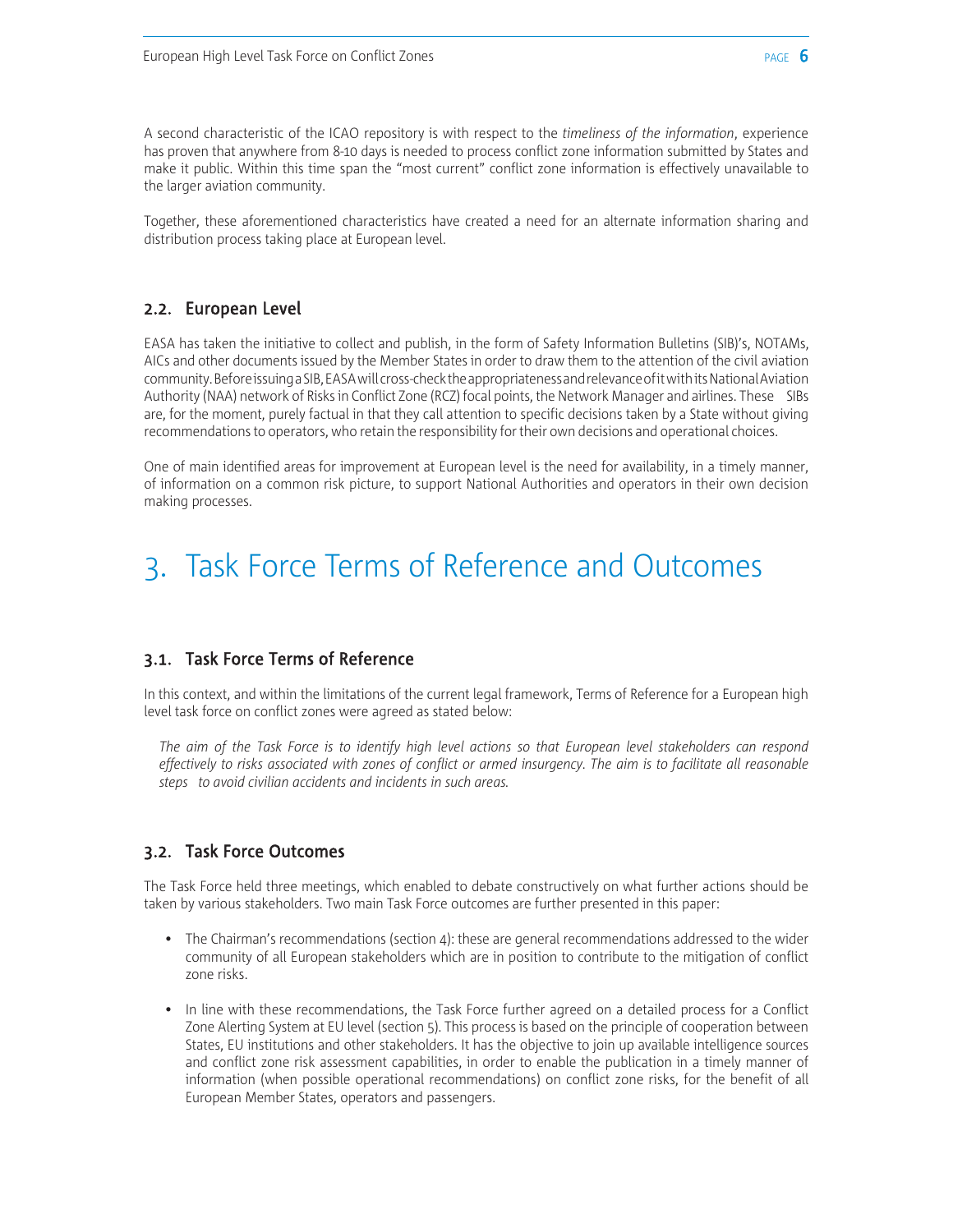A second characteristic of the ICAO repository is with respect to the *timeliness of the information*, experience has proven that anywhere from 8-10 days is needed to process conflict zone information submitted by States and make it public. Within this time span the "most current" conflict zone information is effectively unavailable to the larger aviation community.

Together, these aforementioned characteristics have created a need for an alternate information sharing and distribution process taking place at European level.

#### 2.2. European Level

EASA has taken the initiative to collect and publish, in the form of Safety Information Bulletins (SIB)'s, NOTAMs, AICs and other documents issued by the Member States in order to draw them to the attention of the civil aviation community. Before issuing a SIB, EASA will cross-check the appropriateness and relevance of it with its National Aviation Authority (NAA) network of Risks in Conflict Zone (RCZ) focal points, the Network Manager and airlines. These SIBs are, for the moment, purely factual in that they call attention to specific decisions taken by a State without giving recommendations to operators, who retain the responsibility for their own decisions and operational choices.

One of main identified areas for improvement at European level is the need for availability, in a timely manner, of information on a common risk picture, to support National Authorities and operators in their own decision making processes.

### 3. Task Force Terms of Reference and Outcomes

#### 3.1. Task Force Terms of Reference

In this context, and within the limitations of the current legal framework, Terms of Reference for a European high level task force on conflict zones were agreed as stated below:

*The aim of the Task Force is to identify high level actions so that European level stakeholders can respond effectively to risks associated with zones of conflict or armed insurgency. The aim is to facilitate all reasonable steps to avoid civilian accidents and incidents in such areas.*

#### 3.2. Task Force Outcomes

The Task Force held three meetings, which enabled to debate constructively on what further actions should be taken by various stakeholders. Two main Task Force outcomes are further presented in this paper:

- The Chairman's recommendations (section 4): these are general recommendations addressed to the wider community of all European stakeholders which are in position to contribute to the mitigation of conflict zone risks.
- In line with these recommendations, the Task Force further agreed on a detailed process for a Conflict Zone Alerting System at EU level (section 5). This process is based on the principle of cooperation between States, EU institutions and other stakeholders. It has the objective to join up available intelligence sources and conflict zone risk assessment capabilities, in order to enable the publication in a timely manner of information (when possible operational recommendations) on conflict zone risks, for the benefit of all European Member States, operators and passengers.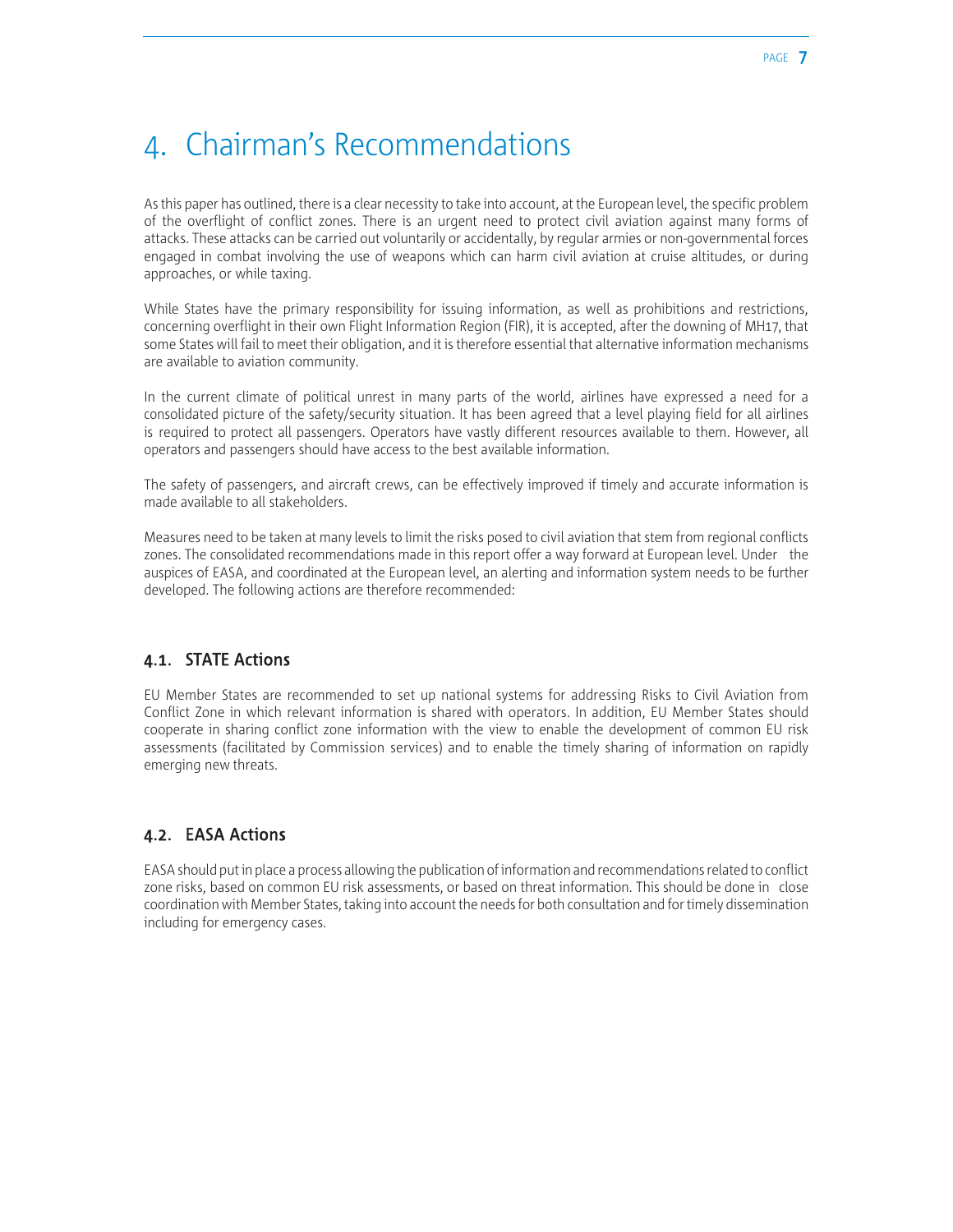### 4. Chairman's Recommendations

As this paper has outlined, there is a clear necessity to take into account, at the European level, the specific problem of the overflight of conflict zones. There is an urgent need to protect civil aviation against many forms of attacks. These attacks can be carried out voluntarily or accidentally, by regular armies or non-governmental forces engaged in combat involving the use of weapons which can harm civil aviation at cruise altitudes, or during approaches, or while taxing.

While States have the primary responsibility for issuing information, as well as prohibitions and restrictions, concerning overflight in their own Flight Information Region (FIR), it is accepted, after the downing of MH17, that some States will fail to meet their obligation, and it is therefore essential that alternative information mechanisms are available to aviation community.

In the current climate of political unrest in many parts of the world, airlines have expressed a need for a consolidated picture of the safety/security situation. It has been agreed that a level playing field for all airlines is required to protect all passengers. Operators have vastly different resources available to them. However, all operators and passengers should have access to the best available information.

The safety of passengers, and aircraft crews, can be effectively improved if timely and accurate information is made available to all stakeholders.

Measures need to be taken at many levels to limit the risks posed to civil aviation that stem from regional conflicts zones. The consolidated recommendations made in this report offer a way forward at European level. Under the auspices of EASA, and coordinated at the European level, an alerting and information system needs to be further developed. The following actions are therefore recommended:

#### 4.1. STATE Actions

EU Member States are recommended to set up national systems for addressing Risks to Civil Aviation from Conflict Zone in which relevant information is shared with operators. In addition, EU Member States should cooperate in sharing conflict zone information with the view to enable the development of common EU risk assessments (facilitated by Commission services) and to enable the timely sharing of information on rapidly emerging new threats.

#### 4.2. EASA Actions

EASA should put in place a process allowing the publication of information and recommendations related to conflict zone risks, based on common EU risk assessments, or based on threat information. This should be done in close coordination with Member States, taking into account the needs for both consultation and for timely dissemination including for emergency cases.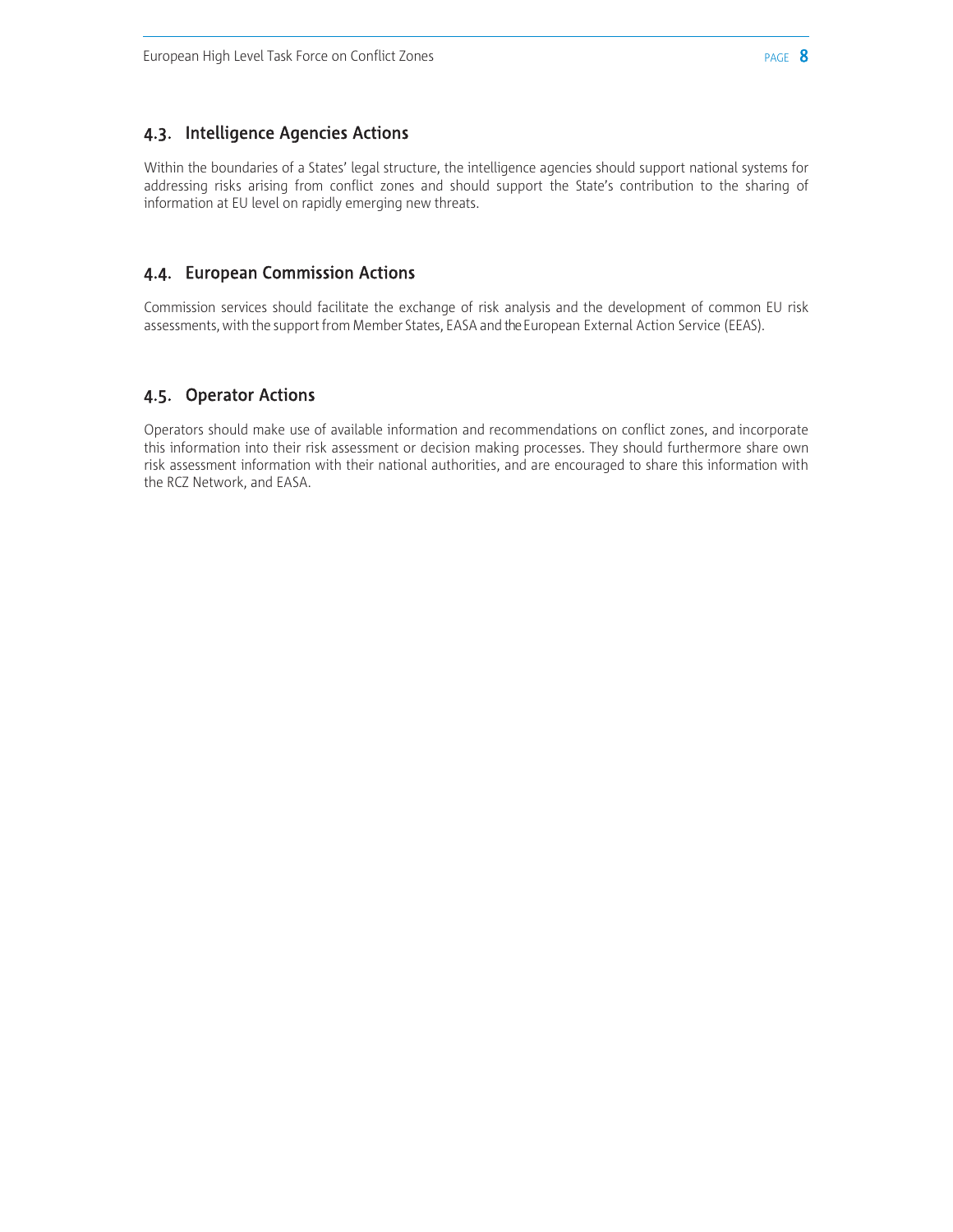#### 4.3. Intelligence Agencies Actions

Within the boundaries of a States' legal structure, the intelligence agencies should support national systems for addressing risks arising from conflict zones and should support the State's contribution to the sharing of information at EU level on rapidly emerging new threats.

#### 4.4. European Commission Actions

Commission services should facilitate the exchange of risk analysis and the development of common EU risk assessments, with the support from Member States, EASA and the European External Action Service (EEAS).

#### 4.5. Operator Actions

Operators should make use of available information and recommendations on conflict zones, and incorporate this information into their risk assessment or decision making processes. They should furthermore share own risk assessment information with their national authorities, and are encouraged to share this information with the RCZ Network, and EASA.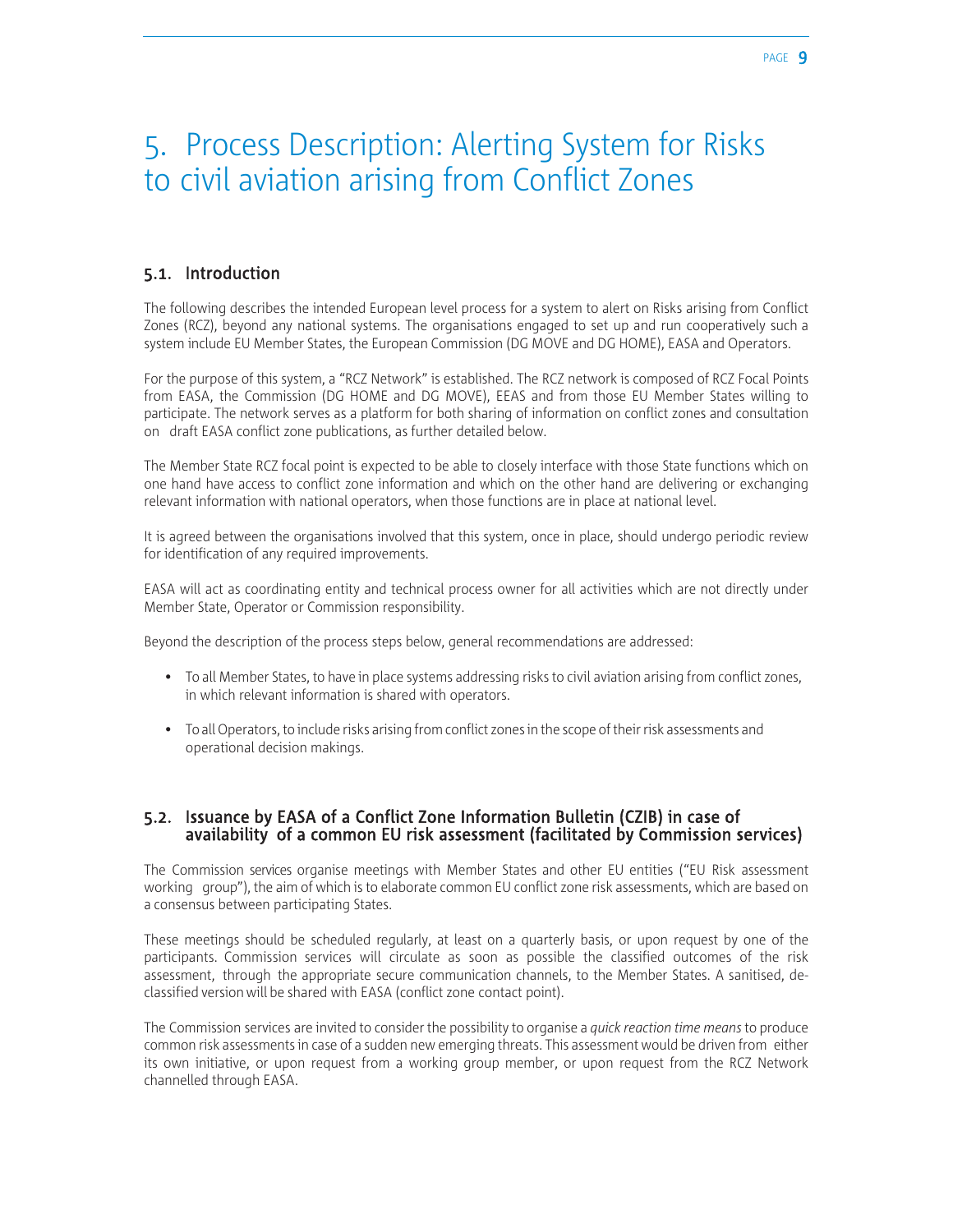### 5. Process Description: Alerting System for Risks to civil aviation arising from Conflict Zones

#### 5.1. Introduction

The following describes the intended European level process for a system to alert on Risks arising from Conflict Zones (RCZ), beyond any national systems. The organisations engaged to set up and run cooperatively such a system include EU Member States, the European Commission (DG MOVE and DG HOME), EASA and Operators.

For the purpose of this system, a "RCZ Network" is established. The RCZ network is composed of RCZ Focal Points from EASA, the Commission (DG HOME and DG MOVE), EEAS and from those EU Member States willing to participate. The network serves as a platform for both sharing of information on conflict zones and consultation on draft EASA conflict zone publications, as further detailed below.

The Member State RCZ focal point is expected to be able to closely interface with those State functions which on one hand have access to conflict zone information and which on the other hand are delivering or exchanging relevant information with national operators, when those functions are in place at national level.

It is agreed between the organisations involved that this system, once in place, should undergo periodic review for identification of any required improvements.

EASA will act as coordinating entity and technical process owner for all activities which are not directly under Member State, Operator or Commission responsibility.

Beyond the description of the process steps below, general recommendations are addressed:

- To all Member States, to have in place systems addressing risks to civil aviation arising from conflict zones, in which relevant information is shared with operators.
- To all Operators, to include risks arising from conflict zones in the scope of their risk assessments and operational decision makings.

#### 5.2. Issuance by EASA of a Conflict Zone Information Bulletin (CZIB) in case of availability of a common EU risk assessment (facilitated by Commission services)

The Commission services organise meetings with Member States and other EU entities ("EU Risk assessment working group"), the aim of which is to elaborate common EU conflict zone risk assessments, which are based on a consensus between participating States.

These meetings should be scheduled regularly, at least on a quarterly basis, or upon request by one of the participants. Commission services will circulate as soon as possible the classified outcomes of the risk assessment, through the appropriate secure communication channels, to the Member States. A sanitised, declassified version will be shared with EASA (conflict zone contact point).

The Commission services are invited to consider the possibility to organise a *quick reaction time means* to produce common risk assessments in case of a sudden new emerging threats. This assessment would be driven from either its own initiative, or upon request from a working group member, or upon request from the RCZ Network channelled through EASA.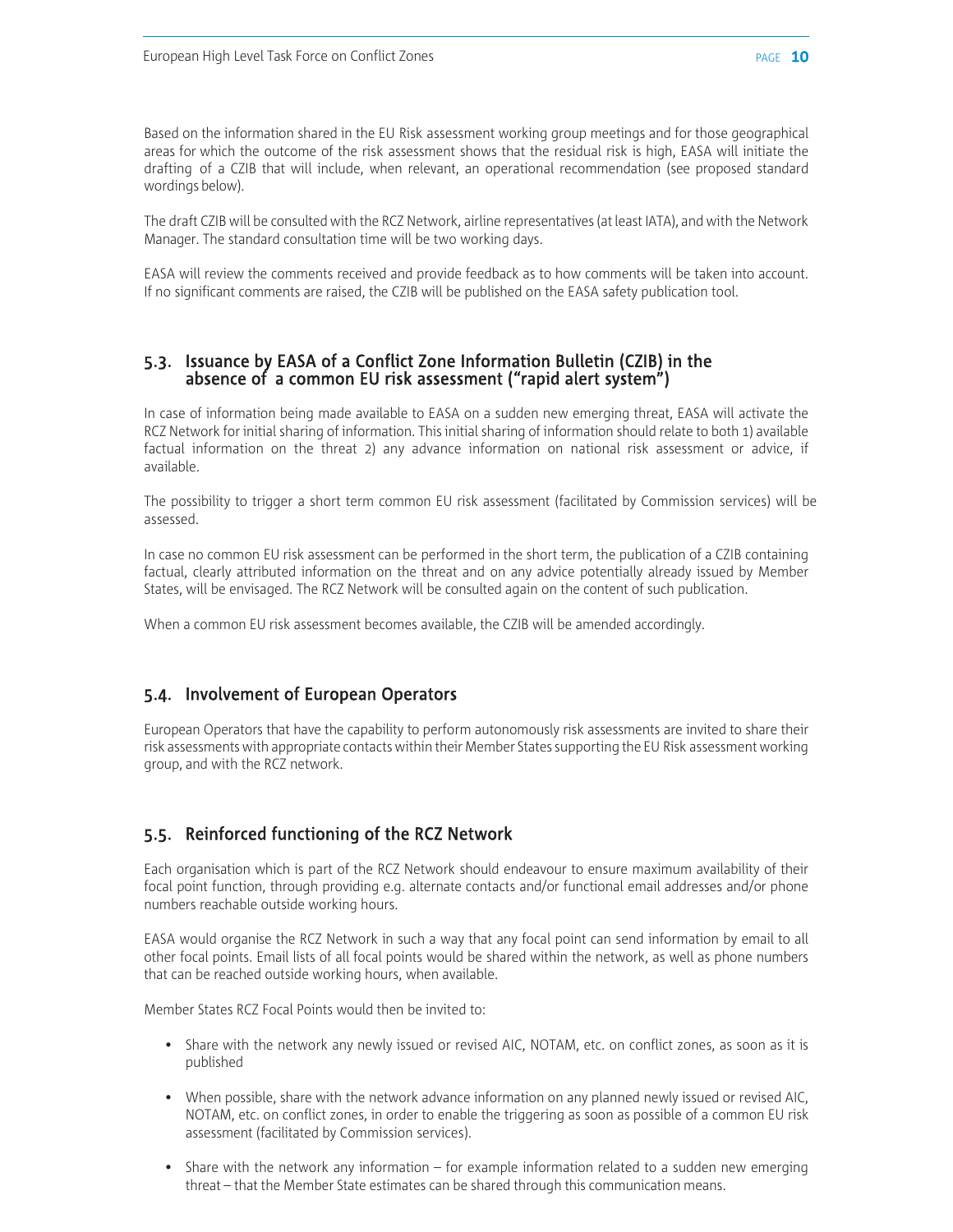Based on the information shared in the EU Risk assessment working group meetings and for those geographical areas for which the outcome of the risk assessment shows that the residual risk is high, EASA will initiate the drafting of a CZIB that will include, when relevant, an operational recommendation (see proposed standard wordings below).

The draft CZIB will be consulted with the RCZ Network, airline representatives (at least IATA), and with the Network Manager. The standard consultation time will be two working days.

EASA will review the comments received and provide feedback as to how comments will be taken into account. If no significant comments are raised, the CZIB will be published on the EASA safety publication tool.

#### 5.3. Issuance by EASA of a Conflict Zone Information Bulletin (CZIB) in the absence of a common EU risk assessment ("rapid alert system")

In case of information being made available to EASA on a sudden new emerging threat, EASA will activate the RCZ Network for initial sharing of information. This initial sharing of information should relate to both 1) available factual information on the threat 2) any advance information on national risk assessment or advice, if available.

The possibility to trigger a short term common EU risk assessment (facilitated by Commission services) will be assessed.

In case no common EU risk assessment can be performed in the short term, the publication of a CZIB containing factual, clearly attributed information on the threat and on any advice potentially already issued by Member States, will be envisaged. The RCZ Network will be consulted again on the content of such publication.

When a common EU risk assessment becomes available, the CZIB will be amended accordingly.

#### 5.4. Involvement of European Operators

European Operators that have the capability to perform autonomously risk assessments are invited to share their risk assessments with appropriate contacts within their Member States supporting the EU Risk assessment working group, and with the RCZ network.

#### 5.5. Reinforced functioning of the RCZ Network

Each organisation which is part of the RCZ Network should endeavour to ensure maximum availability of their focal point function, through providing e.g. alternate contacts and/or functional email addresses and/or phone numbers reachable outside working hours.

EASA would organise the RCZ Network in such a way that any focal point can send information by email to all other focal points. Email lists of all focal points would be shared within the network, as well as phone numbers that can be reached outside working hours, when available.

Member States RCZ Focal Points would then be invited to:

- Share with the network any newly issued or revised AIC, NOTAM, etc. on conflict zones, as soon as it is published
- When possible, share with the network advance information on any planned newly issued or revised AIC, NOTAM, etc. on conflict zones, in order to enable the triggering as soon as possible of a common EU risk assessment (facilitated by Commission services).
- Share with the network any information  $-$  for example information related to a sudden new emerging threat – that the Member State estimates can be shared through this communication means.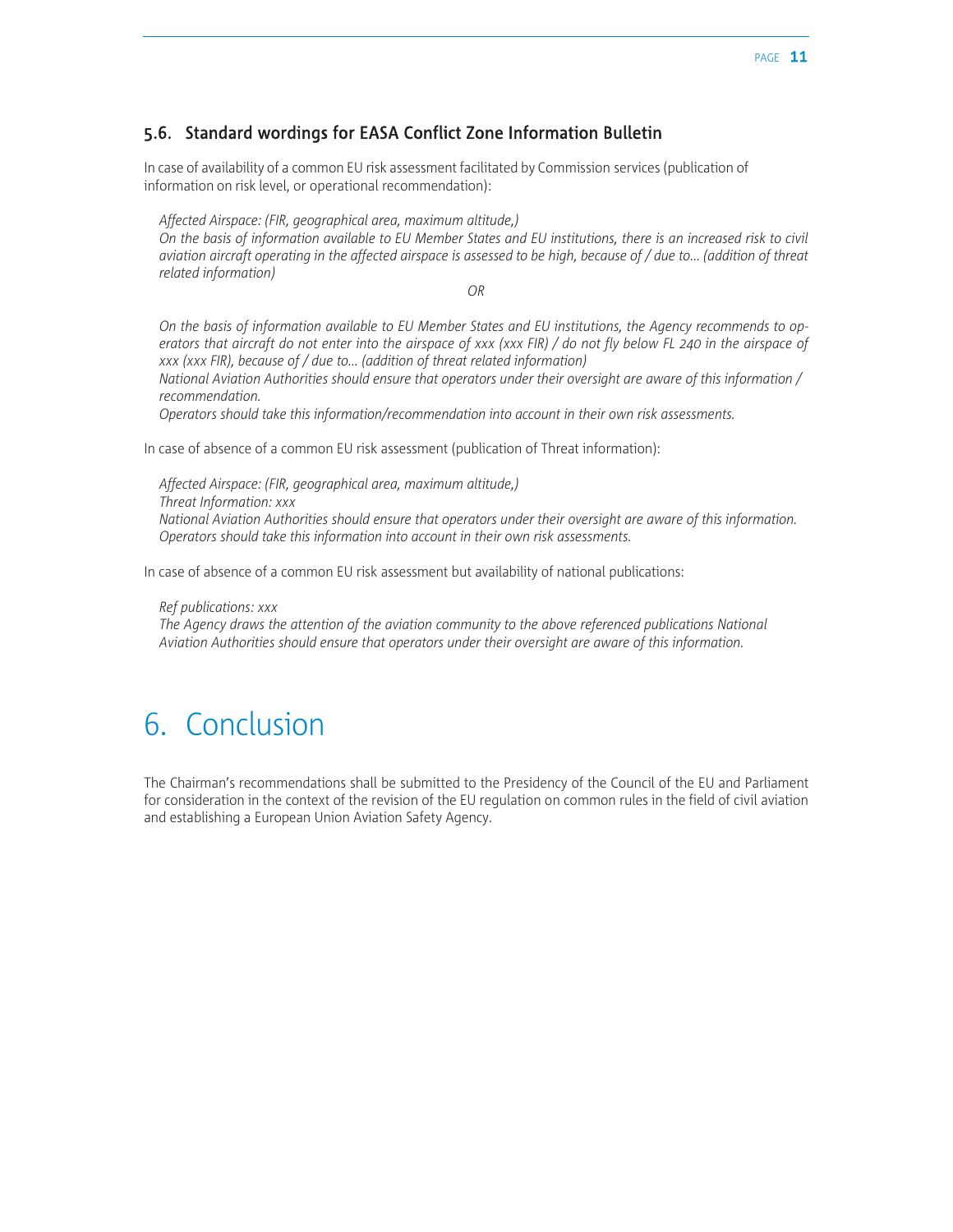#### 5.6. Standard wordings for EASA Conflict Zone Information Bulletin

In case of availability of a common EU risk assessment facilitated by Commission services (publication of information on risk level, or operational recommendation):

*Affected Airspace: (FIR, geographical area, maximum altitude,)*

*On the basis of information available to EU Member States and EU institutions, there is an increased risk to civil aviation aircraft operating in the affected airspace is assessed to be high, because of / due to... (addition of threat related information)*

*OR*

*On the basis of information available to EU Member States and EU institutions, the Agency recommends to operators that aircraft do not enter into the airspace of xxx (xxx FIR) / do not fly below FL 240 in the airspace of xxx (xxx FIR), because of / due to... (addition of threat related information)*

*National Aviation Authorities should ensure that operators under their oversight are aware of this information / recommendation.*

*Operators should take this information/recommendation into account in their own risk assessments.*

In case of absence of a common EU risk assessment (publication of Threat information):

*Affected Airspace: (FIR, geographical area, maximum altitude,) Threat Information: xxx National Aviation Authorities should ensure that operators under their oversight are aware of this information. Operators should take this information into account in their own risk assessments.*

In case of absence of a common EU risk assessment but availability of national publications:

*Ref publications: xxx*

The Agency draws the attention of the aviation community to the above referenced publications National *Aviation Authorities should ensure that operators under their oversight are aware of this information.*

### 6. Conclusion

The Chairman's recommendations shall be submitted to the Presidency of the Council of the EU and Parliament for consideration in the context of the revision of the EU regulation on common rules in the field of civil aviation and establishing a European Union Aviation Safety Agency.